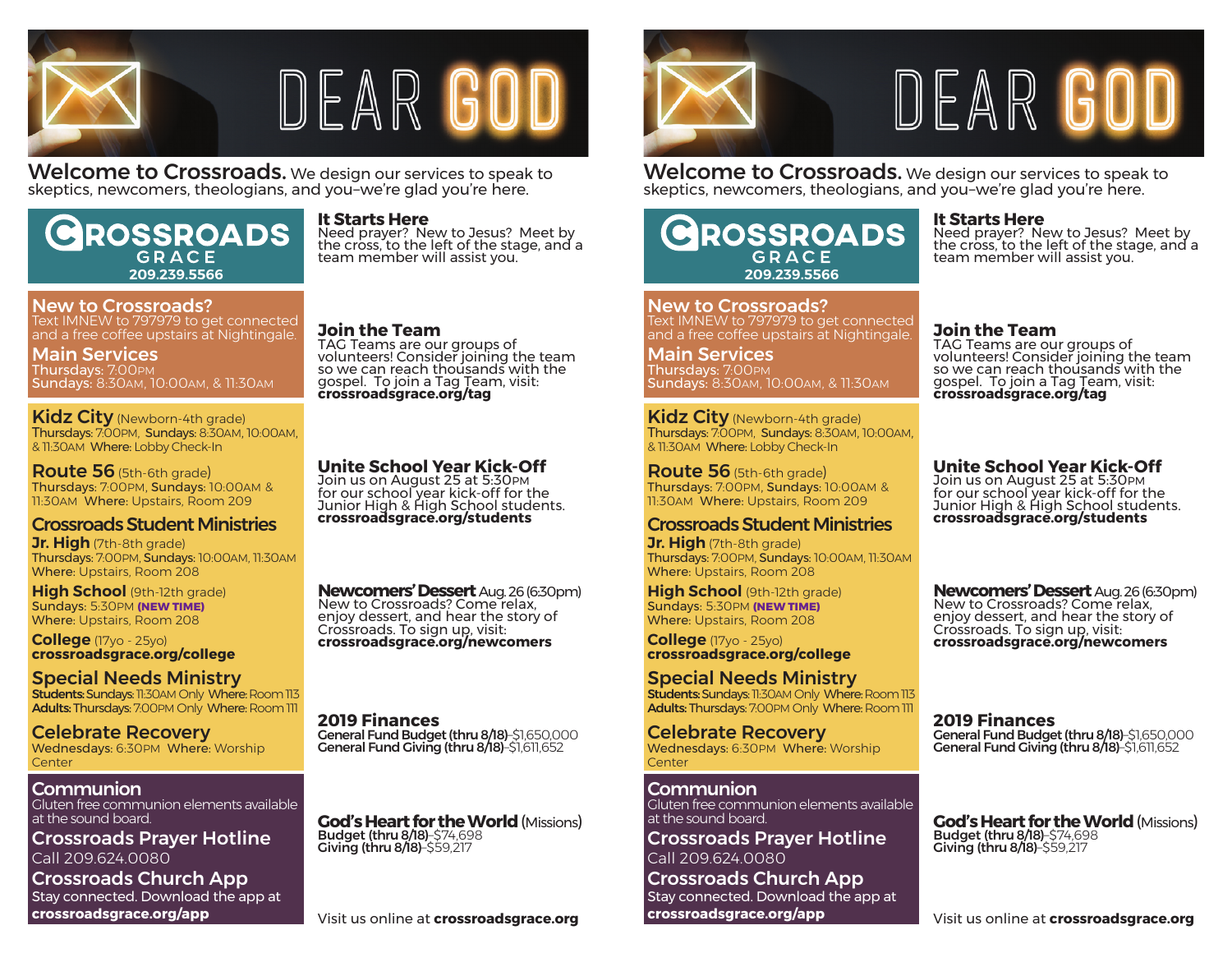

# DEAR GO

Welcome to Crossroads. We design our services to speak to skeptics, newcomers, theologians, and you–we're glad you're here.

# ROSSROADS GRACE **209.239.5566**

#### New to Crossroads? Text IMNEW to 797979 to get connected and a free coffee upstairs at Nightingale.

Main Services Thursdays: 7:00PM Sundays: 8:30AM, 10:00AM, & 11:30AM

Kidz City (Newborn-4th grade) Thursdays: 7:00PM, Sundays: 8:30AM, 10:00AM, & 11:30AM Where: Lobby Check-In

**Route 56** (5th-6th grade) Thursdays: 7:00PM, Sundays: 10:00AM & 11:30AM Where: Upstairs, Room 209

# Crossroads Student Ministries

**Jr. High** (7th-8th grade) Thursdays: 7:00PM, Sundays: 10:00AM, 11:30AM Where: Upstairs, Room 208

**High School** (9th-12th grade) Sundays: 5:30PM **(NEW TIME)** Where: Upstairs, Room 208

**College** (17yo - 25yo) **crossroadsgrace.org/college**

Special Needs Ministry **Students: Sundays: 11:30AM Only Where: Room 113** Adults: Thursdays: 7:00PM Only Where: Room 111

Celebrate Recovery Wednesdays: 6:30PM Where: Worship **Center** 

# Communion

Gluten free communion elements available at the sound board.

Crossroads Prayer Hotline Call 209.624.0080

Crossroads Church App Stay connected. Download the app at **crossroadsgrace.org/app**

### **It Starts Here**

Need prayer? New to Jesus? Meet by the cross, to the left of the stage, and a team member will assist you.

### **Join the Team**

TAG Teams are our groups of volunteers! Consider joining the team so we can reach thousands with the gospel. To join a Tag Team, visit: **crossroadsgrace.org/tag**

# **Unite School Year Kick-Off**

Join us on August 25 at 5:30 PM for our school year kick-off for the Junior High & High School students. **crossroadsgrace.org/students**

**Newcomers' Dessert** Aug. 26 (6:30pm)<br>New to Crossroads? Come relax, enjoy dessert, and hear the story of Crossroads. To sign up, visit: **crossroadsgrace.org/newcomers**

**2019 Finances** General Fund Budget (thru 8/18)–\$1,650,000 General Fund Giving (thru 8/18)–\$1,611,652

**God's Heart for the World** (Missions)<br>Budget (thru 8/18)–\$74,698<br>Giving (thru 8/18)–\$59,217



# DEAR GO

Welcome to Crossroads. We design our services to speak to skeptics, newcomers, theologians, and you–we're glad you're here.

# **ROSSROADS** GRACE **209.239.5566**

New to Crossroads? Text IMNEW to 797979 to get connected and a free coffee upstairs at Nightingale.

Main Services Thursdays: 7:00PM Sundays: 8:30AM, 10:00AM, & 11:30AM

Kidz City (Newborn-4th grade) Thursdays: 7:00PM, Sundays: 8:30AM, 10:00AM, & 11:30AM Where: Lobby Check-In

**Route 56** (5th-6th grade) Thursdays: 7:00PM, Sundays: 10:00AM & 11:30AM Where: Upstairs, Room 209

# Crossroads Student Ministries

**Jr. High** (7th-8th grade) Thursdays: 7:00PM, Sundays: 10:00AM, 11:30AM Where: Upstairs, Room 208

**High School** (9th-12th grade) Sundays: 5:30PM **(NEW TIME)** Where: Upstairs, Room 208

**College** (17yo - 25yo) **crossroadsgrace.org/college**

Special Needs Ministry Students: Sundays: 11:30AM Only Where: Room 113 Adults: Thursdays: 7:00PM Only Where: Room 111

Celebrate Recovery Wednesdays: 6:30PM Where: Worship Center

Communion Gluten free communion elements available at the sound board.

Crossroads Prayer Hotline Call 209.624.0080

Crossroads Church App Stay connected. Download the app at **crossroadsgrace.org/app**

#### **It Starts Here**

Need prayer? New to Jesus? Meet by the cross, to the left of the stage, and a team member will assist you.

#### **Join the Team**

TAG Teams are our groups of volunteers! Consider joining the team so we can reach thousands with the gospel. To join a Tag Team, visit: **crossroadsgrace.org/tag**

# **Unite School Year Kick-Off**

Join us on August 25 at 5:30PM for our school year kick-off for the Junior High & High School students. **crossroadsgrace.org/students**

**Newcomers' Dessert** Aug. 26 (6:30pm)<br>New to Crossroads? Come relax, enjoy dessert, and hear the story of Crossroads. To sign up, visit: **crossroadsgrace.org/newcomers**

**2019 Finances**

General Fund Giving (thru 8/18)–\$1,611,652

**God's Heart for the World** (Missions)<br>Budget (thru 8/18)–\$74,698<br>Giving (thru 8/18)–\$59,217